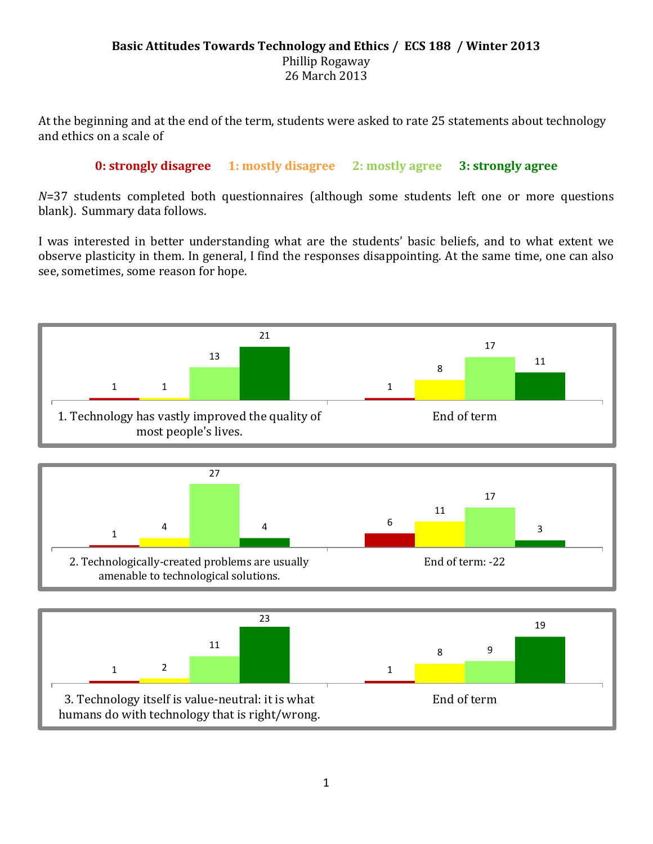## **Basic Attitudes Towards Technology and Ethics / ECS 188 / Winter 2013** Phillip Rogaway 26 March 2013

At the beginning and at the end of the term, students were asked to rate 25 statements about technology and ethics on a scale of

## **0: strongly disagree 1: mostly disagree 2: mostly agree 3: strongly agree**

*N*=37 students completed both questionnaires (although some students left one or more questions blank). Summary data follows.

I was interested in better understanding what are the students' basic beliefs, and to what extent we observe plasticity in them. In general, I find the responses disappointing. At the same time, one can also see, sometimes, some reason for hope.



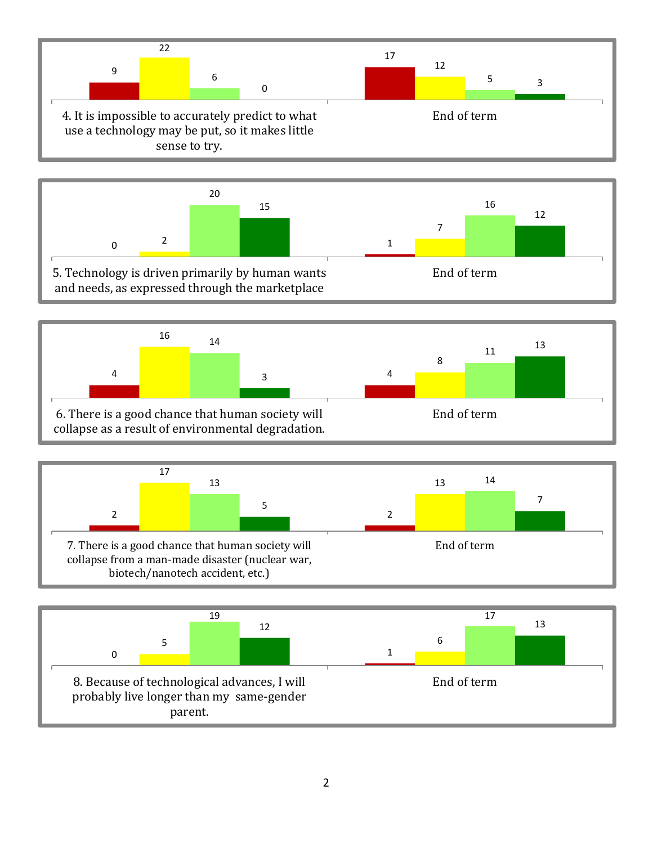







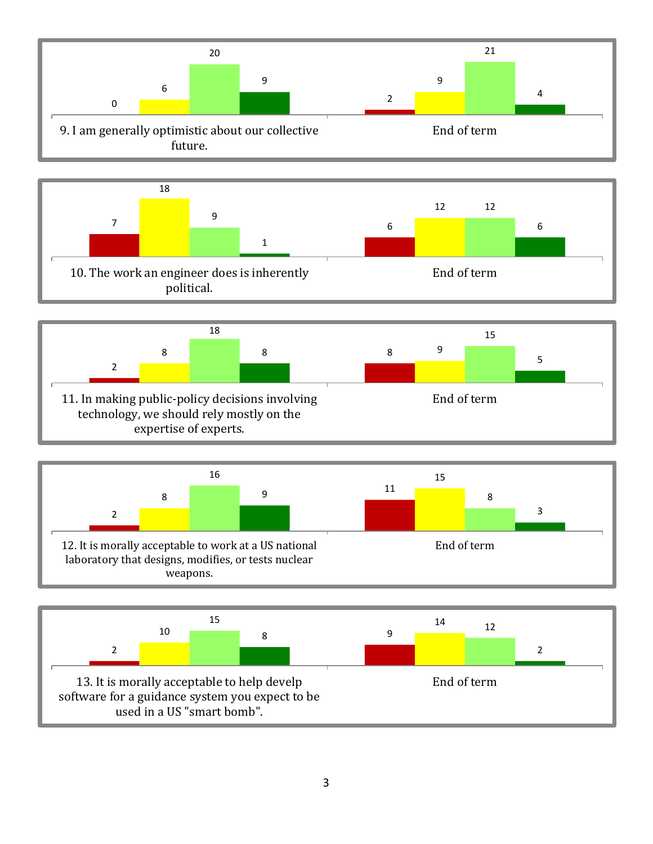



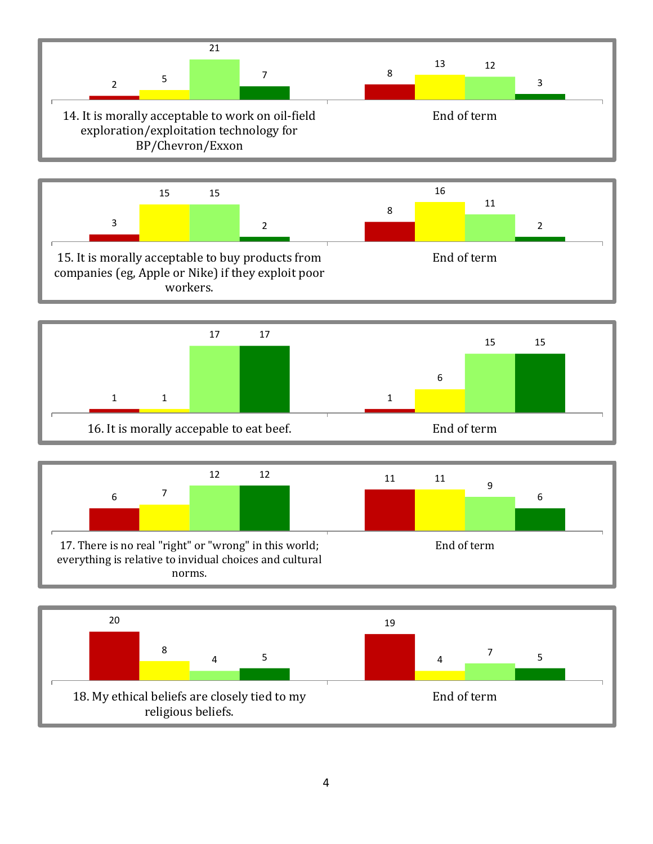







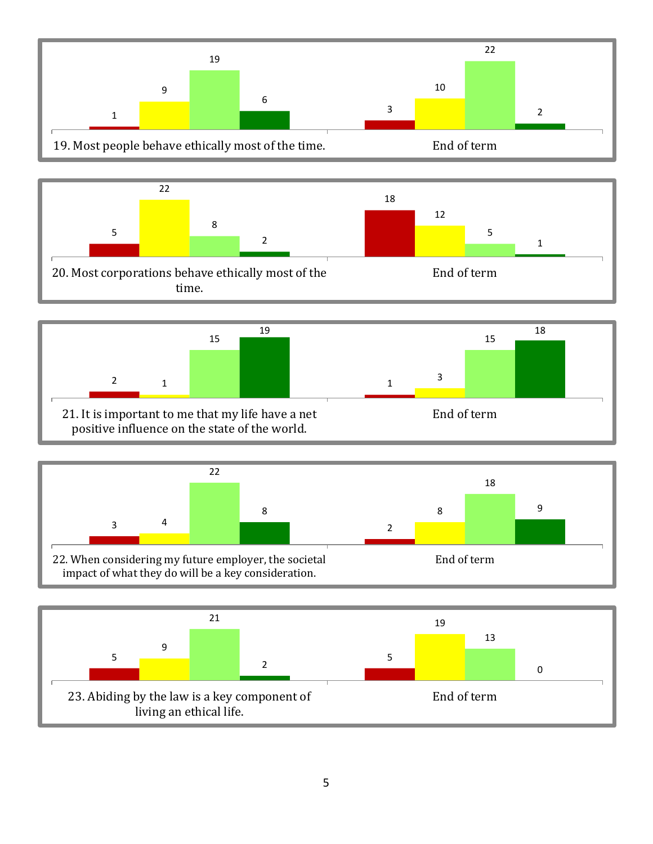